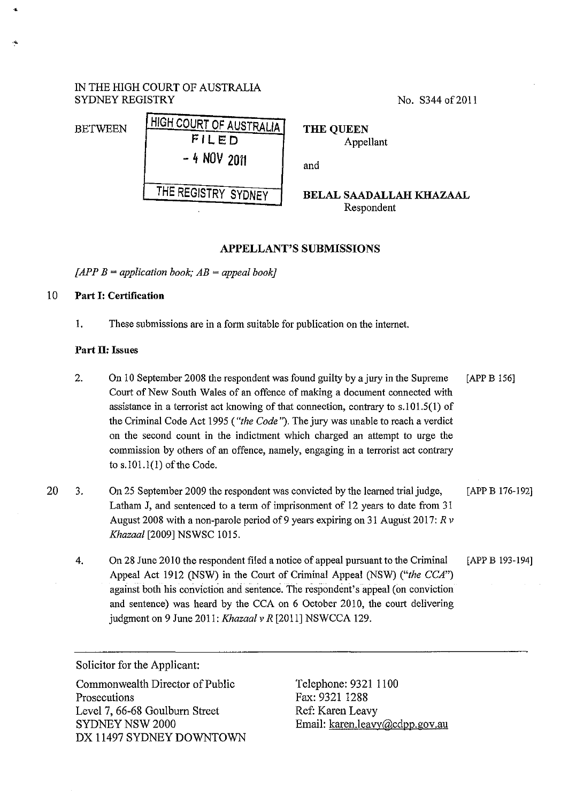# IN THE HIGH COURT OF AUSTRALIA SYDNEY REGISTRY No. S344 of 2011

# BETWEEN HIGH COURT OF AUSTRALIA FILED - 4 NOV <sup>2011</sup> THE QUEEN Appellant and THE REGISTRY SYDNEY BELAL SAADALLAH KHAZAAL Respondent

# APPELLANT'S SUBMISSIONS

*[APP B =application book; AB =appeal book}* 

# 10 Part I: Certification

•

.•

1. These submissions are in a form suitable for publication on the internet.

## Part II: Issues

- 2. On 10 September 2008 the respondent was found guilty by a jury in the Supreme [APP B 156] Court of New South Wales of an offence of making a document connected with assistance in a terrorist act knowing of that connection, contrary to s.l01.5(1) of the Criminal Code Act 1995 *("the Code").* The jury was unable to reach a verdict on the second count in the indictment which charged an attempt to urge the commission by others of an offence, namely, engaging in a terrorist act contrary to s.101.1(1) of the Code.
- 20 3. On 25 September 2009 the respondent was convicted by the learned trial judge, Latham J, and sentenced to a term of imprisonment of 12 years to date from 31 August 2008 with a non-parole period of 9 years expiring on 31 August 2017: *R v Khazaal* [2009] NSWSC 1015. [APP B 176-192]
	- 4. On 28 June 2010 the respondent filed a notice of appeal pursuant to the Criminal [APP B 193-194] Appeal Act 1912 (NSW) in the Court of Criminal Appeal (NSW) *("the CCA")*  against both his conviction and sentence. The respondent's appeal (on conviction and sentence) was heard by the CCA on 6 October 2010, the court delivering judgment on 9 June 2011: *Khazaalv R* [2011] NSWCCA 129.

Solicitor for the Applicant:

Connnonwealth Director of Public Prosecutions Level 7, 66-68 Goulburn Street SYDNEY NSW 2000 DX 11497 SYDNEY DOWNTOWN

Telephone: 9321 1100 Fax: 9321 1288 Ref: Karen Leavy Email: karen.leavy@cdpp.gov.au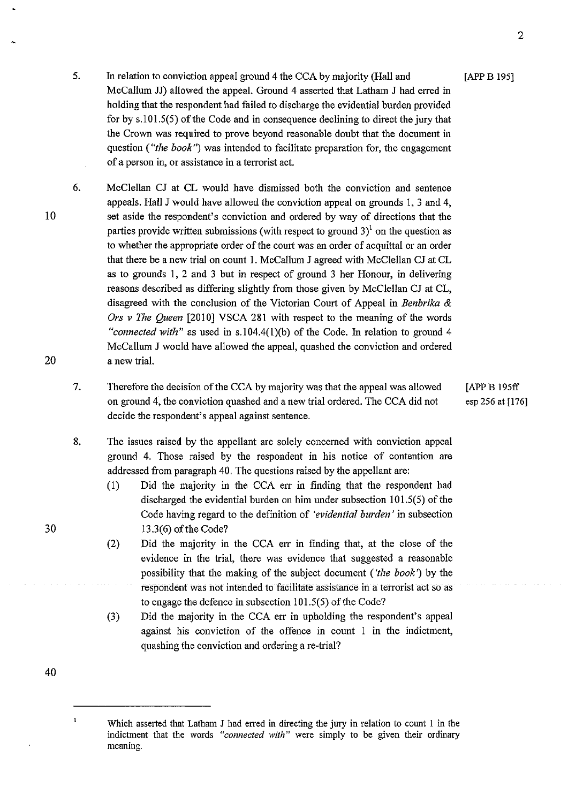- 5. In relation to conviction appeal ground 4 the CCA by majority (Hall and [APP B 195] McCallum JJ) allowed the appeal. Ground 4 asserted that Latham J had erred in holding that the respondent had failed to discharge the evidential burden provided for by s.IOI.5(5) of the Code and in consequence declining to direct the jury that the Crown was required to prove beyond reasonable doubt that the document in question *("the book")* was intended to facilitate preparation for, the engagement of a person in, or assistance in a terrorist act.
- 10 20 6. McClellan CJ at CL would have dismissed both the conviction and sentence appeals. Hall J would have allowed the conviction appeal on grounds I, 3 and 4, set aside the respondent's conviction and ordered by way of directions that the parties provide written submissions (with respect to ground  $3$ )<sup>1</sup> on the question as to whether the appropriate order of the court was an order of acquittal or an order that there be a new trial on count I. McCallum J agreed with McClellan CJ at CL as to grounds I, 2 and 3 but in respect of ground 3 her Honour, in delivering reasons described as differing slightly from those given by McClellan CJ at CL, disagreed with the conclusion of the Victorian Court of Appeal in *Benbrika* & *Ors v The Queen* [2010] VSCA 281 with respect to the meaning of the words *"connected with"* as used in s.I04.4(I)(b) of the Code. In relation to ground 4 McCallum J would have allowed the appeal, quashed the conviction and ordered a new trial.
	- 7. Therefore the decision of the CCA by majority was that the appeal was allowed on ground 4, the conviction quashed and a new trial ordered. The CCA did not decide the respondent's appeal against sentence.
	- 8. The issues raised by the appellant are solely concerned with conviction appeal ground 4. Those raised by the respondent in his notice of contention are addressed from paragraph 40. The questions raised by the appellant are:
		- (1) Did the majority in the CCA err in finding that the respondent had discharged the evidential burden on him under subsection 101.5(5) of the Code having regard to the definition of *'evidential burden'* in subsection 13.3(6) of the Code?
		- (2) Did the majority in the CCA err in fmding that, at the close of the evidence in the trial, there was evidence that suggested a reasonable possibility that the making of the subject document *('the book')* by the respondent was not intended to facilitate assistance in a terrorist act so as to engage the defence in subsection 101.5(5) of the Code?
		- (3) Did the majority in the CCA err in upholding the respondent's appeal against his conviction of the offence in count I in the indictment, quashing the conviction and ordering a re-trial?

40

 $\mathbf{1}$ 

30

[APP B 195ff esp 256 at [176]

Which asserted that Latham J had erred in directing the jury in relation to count 1 in the indictment that the words *"connected with"* were simply to be given their ordinary **meaning.**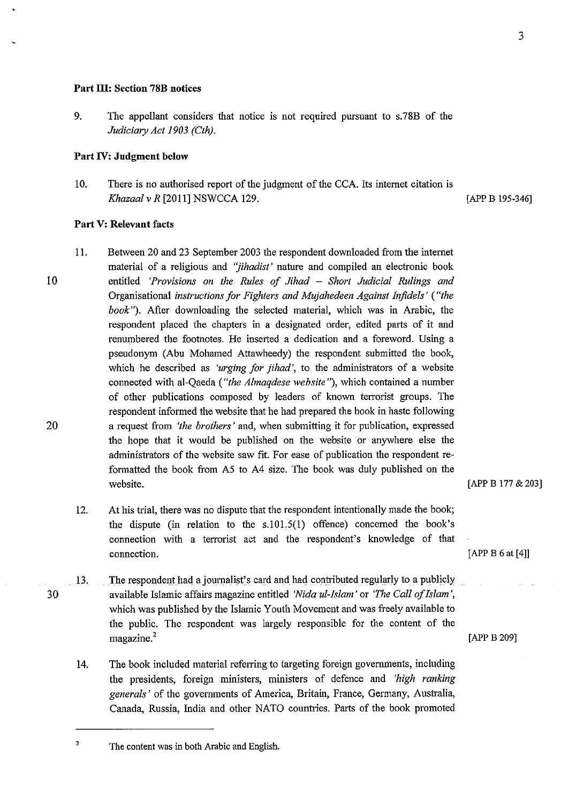#### **Part ID: Section 78B notices**

9. The appellant considers that notice is not required pursuant to s.78B of the *Judiciary Act 1903 (Cth).* 

## **Part IV: Judgment below**

10. There is no authorised report of the judgment of the CCA. Its internet citation is *Khazaal v R* [2011] NSWCCA 129. **[APP B 195-346]** 

### **Part V: Relevant facts**

30

- 10 20 11. Between 20 and 23 September 2003 the respondent downloaded from the internet material of a religious and *"jihadist'* nature and compiled an electronic book entitled *'Provisions on the Rules of Jihad* - *Short Judicial Rulings and*  Organisational *instructions for Fighters and Mujahedeen Against Infidels' ("the book").* After downloading the selected material, which was in Arabic, the respondent placed the chapters in a designated order, edited parts of it and renumbered the footnotes. He inserted a dedication and a foreword. Using a pseudonym (Abu Mohamed Attawheedy) the respondent submitted the book, which he described as *'urging for jihad',* to the administrators of a website connected with al-Qaeda *("the Almaqdese website"),* which contained a number of other publications composed by leaders of known terrorist groups. The respondent informed the website that he had prepared the book in haste following a request from *'the brothers'* and, when submitting it for publication, expressed the hope that it would be published on the website or anywhere else the administrators of the website saw fit. For ease of publication the respondent reformatted the book from A5 to A4 size. The book was duly published on the website.
	- 12. At his trial, there was no dispute that the respondent intentionally made the book; the dispute (in relation to the  $s.101.5(1)$  offence) concerned the book's connection with a terrorist act and the respondent's knowledge of that connection.
	- 13. The respondent had a journalist's card and had contributed regularly to a publicly available Islamic affairs magazine entitled *'Nida ul-lslam'* or *'The Call of Islam',*  which was published by the Islamic Youth Movement and was freely available to the public. The respondent was largely responsible for the content of the  $m$ agazine.<sup>2</sup> [APP B 209]
		- 14. The book included material referring to targeting foreigo governments, including the presidents, foreign ministers, ministers of defence and *'high ranking generals'* of the governments of America, Britain, France, Germany, Australia, Canada, Russia, India and other NATO countries. Parts of the book promoted

[APP B 177 & 203]

[APP B 6 at [4]]

<sup>&</sup>lt;sup>2</sup> The content was in both Arabic and English.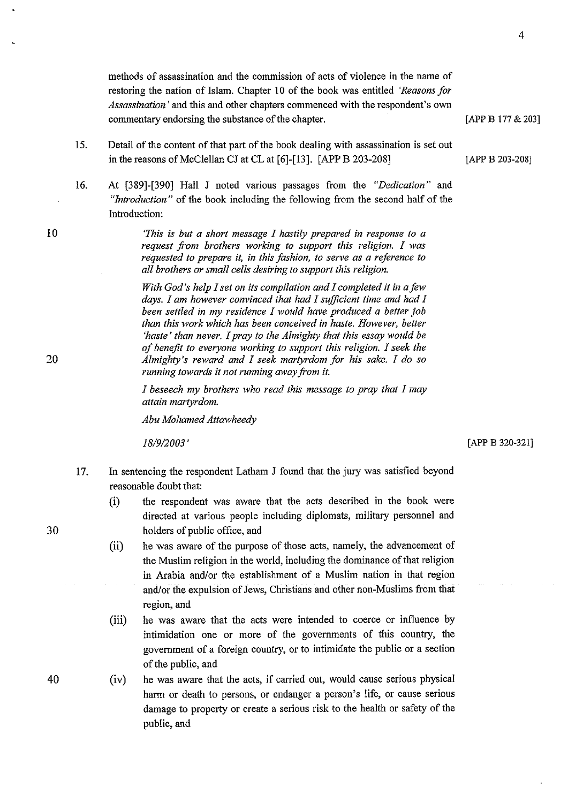[APP B 177 & 203]

4

methods of assassination and the commission of acts of violence in the name of restoring the nation of Islam. Chapter 10 of the book was entitled *'Reasons for Assassination'* and this and other chapters commenced with the respondent's own commentary endorsing the substance of the chapter.

- 15. Detail of the content of that part of the book dealing with assassination is set out in the reasons of McClellan CJ at CL at [6]-[13]. [APP B 203-208] [APP B 203-208]
- 16. At [389]-[390] Hall J noted various passages from the *"Dedication"* and *"Introduction"* of the book including the following from the second half of the Introduction:

*'This is but a short message I hastily prepared in response to a request from brothers working to support this religion. I was requested to prepare it, in this fashion, to serve as a reference to all brothers or small cells desiring to support this religion.* 

*With God's help I set on its compilation and I completed it in a few days. I am however convinced that had I sufficient time and had I been settled in my residence I would have produced a better job than this work which has been conceived in haste. However, better 'haste' than never. I pray to the Almighty that this essay would be of benefit to everyone working to support this religion. I seek the Almighty's reward and I seek martyrdom for his sake. I do so running towards it not running away from* it.

*I beseech my brothers who read this message to pray that I may attain martyrdom.* 

*Abu Mohamed Attawheedy* 

*18/9/2003'* 

[APP B 320-321]

- 17. In sentencing the respondent Latham J found that the jury was satisfied beyond reasonable doubt that:
	- (i) the respondent was aware that the acts described in the book were directed at various people including diplomats, military personnel and holders of public office, and
	- (ii) he was aware of the purpose of those acts, namely, the advancement of the Muslim religion in the world, including the dominance of that religion in Arabia and/or the establishment of a Muslim nation in that region and/or the expulsion of Jews, Christians and other non-Muslims from that region, and
	- (iii) he was aware that the acts were intended to coerce or influence by intimidation one or more of the governments of this country, the government of a foreign country, or to intimidate the public or a section of the public, and
- 40 (iv) he was aware that the acts, if carried out, would cause serious physical harm or death to persons, or endanger a person's life, or cause serious damage to property or create a serious risk to the health or safety of the public, and

20

10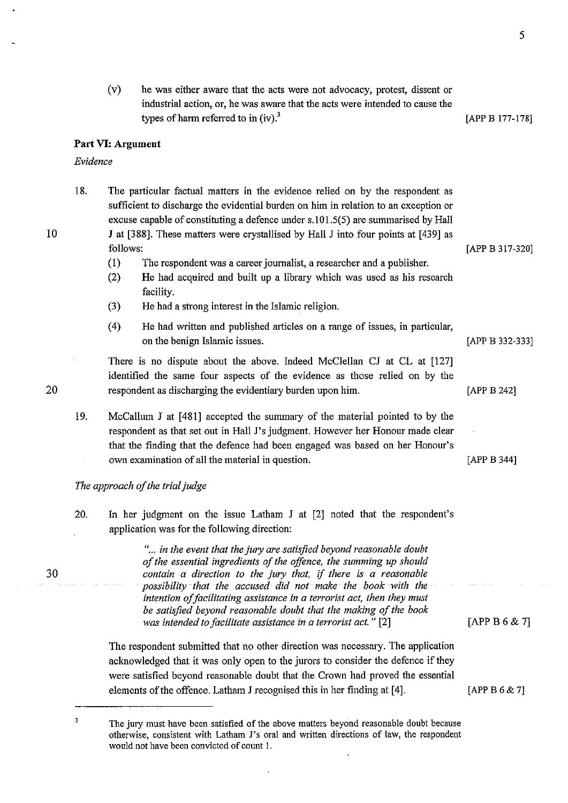- 5
- (v) he was either aware that the acts were not advocacy, protest, dissent or industrial action, or, he was aware that the acts were intended to cause the types of harm referred to in  $(iv)$ .<sup>3</sup> [APP B 177-178]

### **Part VI: Argument**

### *Evidence*

| 18. | The particular factual matters in the evidence relied on by the respondent as       |                 |
|-----|-------------------------------------------------------------------------------------|-----------------|
|     | sufficient to discharge the evidential burden on him in relation to an exception or |                 |
|     | excuse capable of constituting a defence under s.101.5(5) are summarised by Hall    |                 |
|     | J at [388]. These matters were crystallised by Hall J into four points at [439] as  |                 |
|     | follows:                                                                            | [APP B 317-320] |
|     |                                                                                     |                 |

- (I) The respondent was a career journalist, a researcher and a publisher.
- (2) He had acquired and built up a library which was used as his research facility.
- (3) He had a strong interest in the Islamic religion.
- ( 4) He had written and published articles on a range of issues, in particular, on the benign Islamic issues. [APP B 332-333]

There is no dispute about the above. Indeed McClellan CJ at CL at [127] identified the same four aspects of the evidence as those relied on by the respondent as discharging the evidentiary burden upon him. [APP B 242]

19. McCallum J at [481] accepted the summary of the material pointed to by the respondent as that set out in Hall J's judgment. However her Honour made clear that the finding that the defence had been engaged was based on her Honour's own examination of all the material in question.

# *The approach of the trial judge*

20. In her judgment on the issue Latham J at [2] noted that the respondent's application was for the following direction:

> "... *in the event that the jury are satisfied beyond reasonable doubt of the essential ingredients of the offence, the summing up should contain a direction to the jury that,* if *there is a reasonable possibility-that the accused did not make the book with the intention of facilitating assistance in a terrorist act, then they must be satisfied beyond reasonable doubt that the making of the book was intended to facilitate assistance in a terrorist act.* " [2]

The respondent submitted that no other direction was necessary. The application acknowledged that it was only open to the jurors to consider the defence if they were satisfied beyond reasonable doubt that the Crown had proved the essential elements of the offence. Latham J recognised this in her finding at [4]. [APP B  $6 \& 7$ ]

10

20

30

[APP B 344]

[APPB 6& 7]

 $\overline{\mathbf{3}}$ The jury must have been satisfied of the above matters beyond reasonable doubt because otherwise, consistent with Latham J's oral and written directions of law, the respondent would not have been convicted of count I.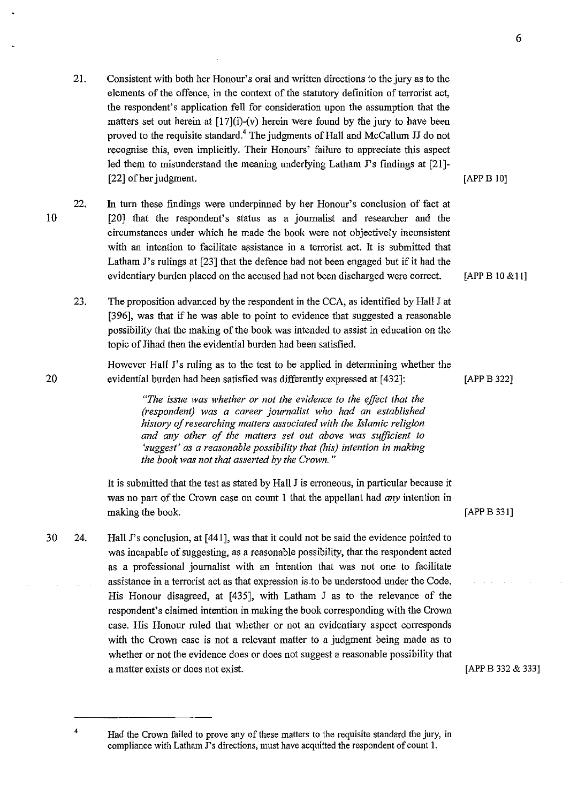- 21. Consistent with both her Honour's oral and written directions to the jury as to the elements of the offence, in the context of the statutory definition of terrorist act, the respondent's application fell for consideration upon the assumption that the matters set out herein at  $[17](i)$ -(v) herein were found by the jury to have been proved to the requisite standard.<sup>4</sup> The judgments of Hall and McCallum JJ do not recognise this, even implicitly. Their Honours' failure to appreciate this aspect led them to misunderstand the meaning underlying Latham  $J$ 's findings at [21]-[22] of her judgment. [APP B 10]
- 22. In tum these findings were underpinned by her Honour's conclusion of fact at [20] that the respondent's status as a journalist and researcher and the circumstances under which he made the book were not objectively inconsistent with an intention to facilitate assistance in a terrorist act. It is submitted that Latham J's rulings at [23] that the defence had not been engaged but if it had the evidentiary burden placed on the accused had not been discharged were correct.
	- 23. The proposition advanced by the respondent in the CCA, as identified by Hall J at [396], was that if he was able to point to evidence that suggested a reasonable possibility that the making of the book was intended to assist in education on the topic of Jihad then the evidential burden had been satisfied.

However Hall J's ruling as to the test to be applied in determining whether the evidential burden had been satisfied was differently expressed at [432]:

> *"The issue was whether or not the evidence to the effect that the (respondent) was a career journalist who had an established history of researching matters associated with the Islamic religion and any other of the matters set out above was sufficient to 'suggest' as a reasonable possibility that (his) intention in making the book was not that asserted by the Crown.* "

It is submitted that the test as stated by Hall J is erroneous, in particular because it was no part of the Crown case on count l that the appellant had *any* intention in making the book. [APP B 331]

30 24. Hall J's conclusion, at [441], was that it could not be said the evidence pointed to was incapable of suggesting, as a reasonable possibility, that the respondent acted as a professional journalist with an intention that was not one to facilitate assistance in a terrorist act as that expression is to be understood under the Code. His Honour disagreed, at [435], with Latham J as to the relevance of the respondent's claimed intention in making the book corresponding with the Crown case. His Honour ruled that whether or not an evidentiary aspect corresponds with the Crown case is not a relevant matter to a judgment being made as to whether or not the evidence does or does not suggest a reasonable possibility that a matter exists or does not exist.

6

[APP B 10 &11]

[APPB 322]

[APP B 332 & 333]

20

Had the Crown failed to prove any of these matters to the requisite standard the jury, in compliance with Latham J's directions, must have acquitted the respondent of count I.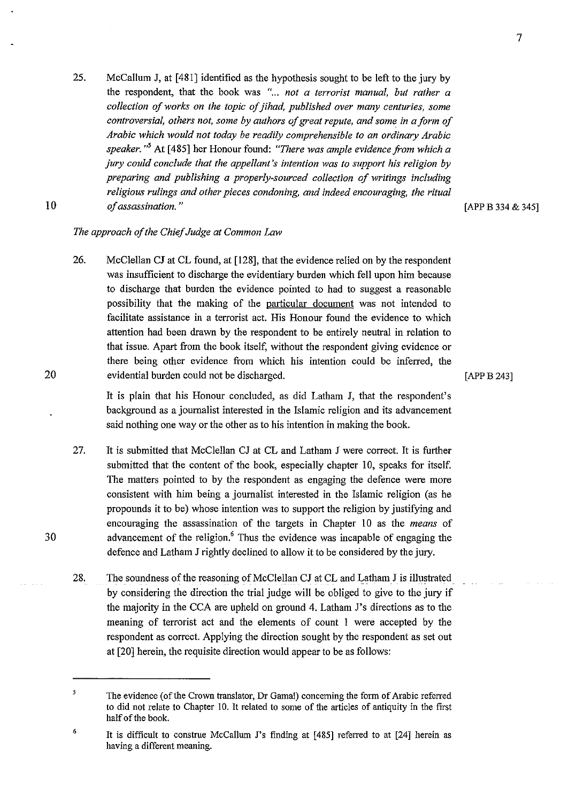25. McCallum J, at [481] identified as the hypothesis sought to be left to the jury by the respondent, that the book was "... *not a terrorist manual, but rather a collection of works on the topic of jihad, published over many centuries, some controversial, others not, some by authors of great repute, and some in a form of Arabic which would not today be readily comprehensible to an ordinary Arabic speaker.* " 5 At [ 485] her Honour found: *"There was ample evidence from which a jury could conclude that the appellant's intention was to support his religion by preparing and publishing a properly-sourced collection of writings including religious rulings and other pieces condoning, and indeed encouraging, the ritual of assassination.* "

[APP B 334 & 345]

## *The approach of the Chief Judge at Common Law*

26. McClellan CJ at CL found, at [128], that the evidence relied on by the respondent was insufficient to discharge the evidentiary burden which fell upon him because to discharge that burden the evidence pointed to had to suggest a reasonable possibility that the making of the particular document was not intended to facilitate assistance in a terrorist act. His Honour found the evidence to which attention had been drawn by the respondent to be entirely neutral in relation to that issue. Apart from the book itself, without the respondent giving evidence or there being other evidence from which his intention could be inferred, the evidential burden could not be discharged.

[APPB 243]

It is plain that his Honour concluded, as did Latham J, that the respondent's background as a journalist interested in the Islamic religion and its advancement said nothing one way or the other as to his intention in making the book.

- 27. It is submitted that McClellan CJ at CL and Latham J were correct. It is further submitted that the content of the book, especially chapter 10, speaks for itself. The matters pointed to by the respondent as engaging the defence were more consistent with him being a journalist interested in the Islamic religion (as he propounds it to be) whose intention was to support the religion by justifying and encouraging the assassination of the targets in Chapter 10 as the *means* of advancement of the religion. $6$  Thus the evidence was incapable of engaging the defence and Latham J rightly declined to allow it to be considered by the jury.
- 28. The soundness of the reasoning of McClellan CJ at CL and Latham J is illustrated by considering the direction the trial judge will be obliged to give to the jury if the majority in the CCA are upheld on ground 4. Latham J's directions as to the meaning of terrorist act and the elements of count I were accepted by the respondent as correct. Applying the direction sought by the respondent as set out at [20] herein, the requisite direction would appear to be as follows:

30

20

*<sup>5</sup>*  The evidence (of the Crown translator, Dr Gamal) concerning the form of Arabic referred to did not relate to Chapter 10. It related to some of the articles of antiquity in the first half of the book.

<sup>6</sup>  It is difficult to construe McCallum J's finding at [485] referred to at [24] herein as having a different meaning.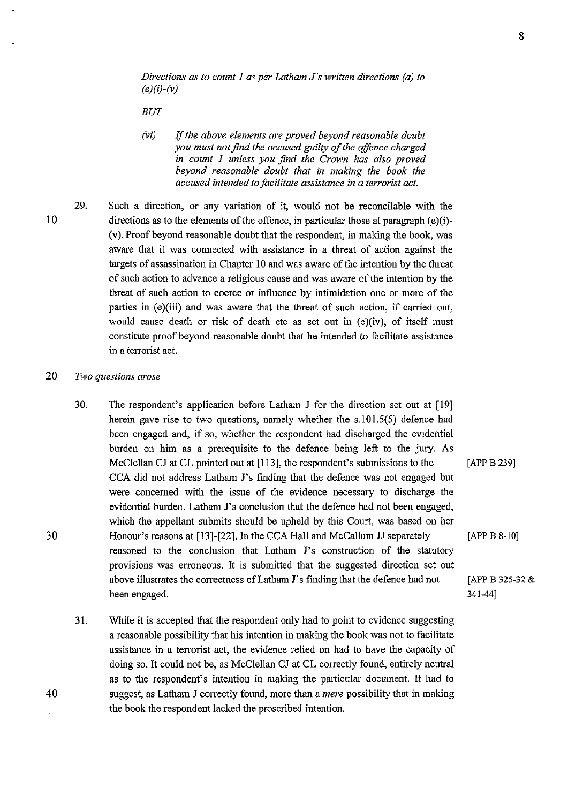*Directions as to count 1 as per Latham J's written directions (a) to (e)(i)-(v)* 

BUT

*(vi)* lf *the above elements are proved beyond reasonable doubt you must not find the accused guilty of the offence charged in count 1 unless you find the Crown has also proved beyond reasonable doubt that in making the book the accused intended to facilitate assistance in a terrorist act.* 

29. Such a direction, or any variation of it, would not be reconcilable with the directions as to the elements of the offence, in particular those at paragraph  $(e)(i)$ -(v). Proof beyond reasonable doubt that the respondent, in making the book, was aware that it was connected with assistance in a threat of action against the targets of assassination in Chapter 10 and was aware of the intention by the threat of such action to advance a religious cause and was aware of the intention by the threat of such action to coerce or influence by intimidation one or more of the parties in  $(e)(iii)$  and was aware that the threat of such action, if carried out, would cause death or risk of death etc as set out in (e)(iv), of itself must constitute proof beyond reasonable doubt that he intended to facilitate assistance in a terrorist act.

## 20 *Two questions arose*

- 30. The respondent's application before Latham J for the direction set out at [19] herein gave rise to two questions, namely whether the s.I01.5(5) defence had been engaged and, if so, whether the respondent had discharged the evidential burden on him as a prerequisite to the defence being left to the jury. As McClellan CJ at CL pointed out at [113], the respondent's submissions to the CCA did not address Latham J's finding that the defence was not engaged but were concerned with the issue of the evidence necessary to discharge the evidential burden. Latham J's conclusion that the defence had not been engaged, which the appellant submits should be upheld by this Court, was based on her Honour's reasons at [13]-[22]. In the CCA Hall and McCallum JJ separately [APP B 8-10] reasoned to the conclusion that Latham J's construction of the statutory provisions was erroneous. It is submitted that the suggested direction set out above illustrates the correctness of Latham J's finding that the defence had not [APP B 325-32  $\&$ been engaged. 341-44]
- 31. While it is accepted that the respondent only had to point to evidence suggesting a reasonable possibility that his intention in making the book was not to facilitate assistance in a terrorist act, the evidence relied on had to have the capacity of doing so. It could not be, as McClellan CJ at CL correctly found, entirely neutral as to the respondent's intention in making the particular document. It had to suggest, as Latham J correctly found, more than a *mere* possibility that in making the book the respondent lacked the proscribed intention.

10

40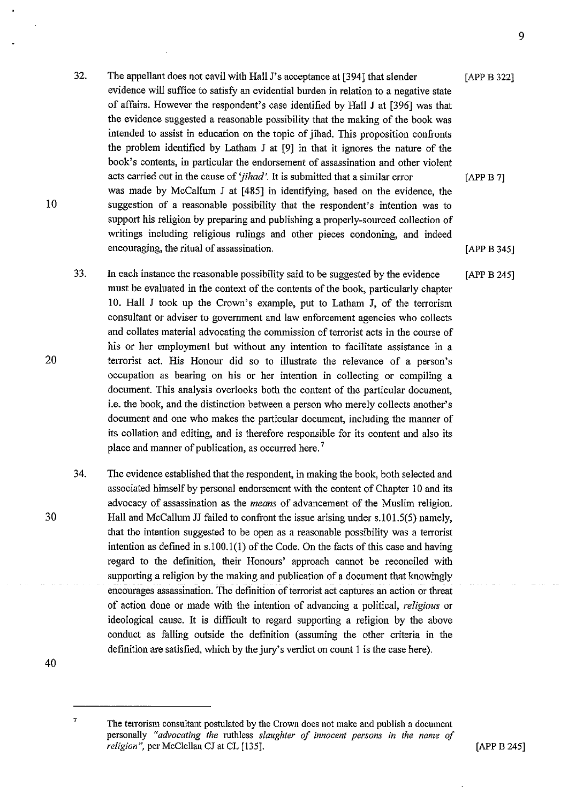- 32. The appellant does not cavil with Hall J's acceptance at [394] that slender evidence will suffice to satisfy an evidential burden in relation to a negative state of affairs. However the respondent's case identified by Hall J at [396] was that the evidence suggested a reasonable possibility that the making of the book was intended to assist in education on the topic of jihad. This proposition confronts the problem identified by Latham J at [9] in that it ignores the nature of the book's contents, in particular the endorsement of assassination and other violent acts carried out in the cause of *'jihad'.* It is submitted that a similar error was made by McCallum J at [485] in identifying, based on the evidence, the suggestion of a reasonable possibility that the respondent's intention was to support his religion by preparing and publishing a properly-sourced collection of writings including religious rulings and other pieces condoning, and indeed encouraging, the ritual of assassination. [APP B 322] [APP B 7] [APP B 345]
- 33. In each instance the reasonable possibility said to be suggested by the evidence must be evaluated in the context of the contents of the book, particularly chapter 10. Hall J took up the Crown's example, put to Latham J, of the terrorism consultant or adviser to government and law enforcement agencies who collects and collates material advocating the commission of terrorist acts in the course of his or her employment but without any intention to facilitate assistance in a terrorist act. His Honour did so to illustrate the relevance of a person's occupation as bearing on his or her intention in collecting or compiling a document. This analysis overlooks both the content of the particular document, i.e. the book, and the distinction between a person who merely collects another's document and one who makes the particular document, including the manner of its collation and editing, and is therefore responsible for its content and also its place and manner of publication, as occurred here.<sup>7</sup> [APP B 245]
- 34. The evidence established that the respondent, in making the book, both selected and associated himself by personal endorsement with the content of Chapter 10 and its advocacy of assassination as the *means* of advancement of the Muslim religion. Hall and McCallum JJ failed to confront the issue arising under s.l01.5(5) namely, that the intention suggested to be open as a reasonable possibility was a terrorist intention as defined in  $s.100.1(1)$  of the Code. On the facts of this case and having regard to the definition, their Honours' approach cannot be reconciled with supporting a religion by the making and publication of a document that knowingly encourages assassination. The definition of terrorist act captures an action or threat of action done or made with the intention of advancing a political, *religious* or ideological cause. It is difficult to regard supporting a religion by the above conduct as falling outside the definition (assuming the other criteria in the definition are satisfied, which by the jury's verdict on count I is the case here).

40

30

10

<sup>&</sup>lt;sup>7</sup> The terrorism consultant postulated by the Crown does not make and publish a document personally *"advocating the* ruthless *slaughter of innocent persons in the name of religion",* per McClellan CJ at CL [135].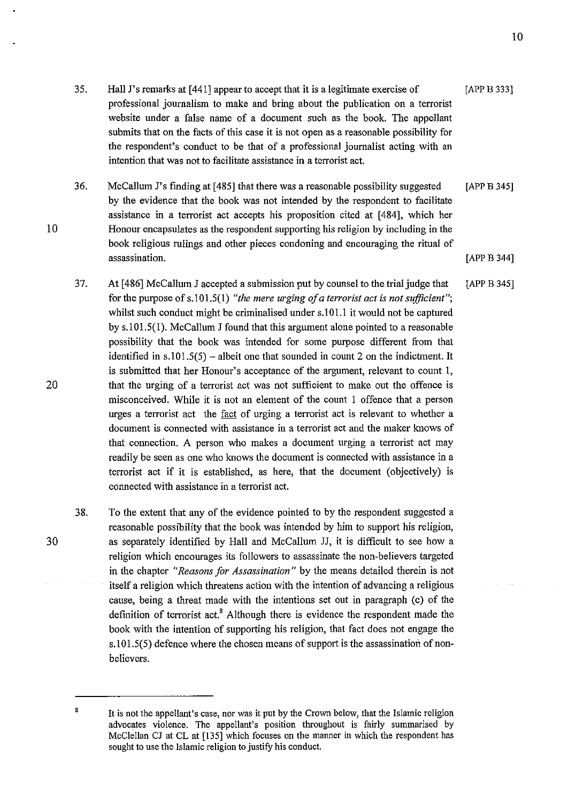- Hall J's remarks at [441] appear to accept that it is a legitimate exercise of professional journalism to make and bring about the publication on a terrorist [APP B 333]
- website under a false name of a document such as the book. The appellant submits that on the facts of this case it is not open as a reasonable possibility for the respondent's conduct to be that of a professional journalist acting with an intention that was not to facilitate assistance in a terrorist act.
- 36. McCallum J's finding at [485] that there was a reasonable possibility suggested by the evidence that the book was not intended by the respondent to facilitate assistance in a terrorist act accepts his proposition cited at [484], which her Honour encapsulates as the respondent supporting his religion by including in the book religious rulings and other pieces condoning and encouraging the ritual of assassination. [APP B 345] [APP B 344]
- 37. At [ 486] McCallum J accepted a submission put by counsel to the trial judge that for the purpose of s.101.5(1) "the mere urging of a terrorist act is not sufficient"; whilst such conduct might be criminalised under s.101.1 it would not be captured by s.l01.5(1). McCallum J found that this argument alone pointed to a reasonable possibility that the book was intended for some purpose different from that identified in  $s.101.5(5)$  – albeit one that sounded in count 2 on the indictment. It is submitted that her Honour's acceptance of the argument, relevant to count I, that the urging of a terrorist act was not sufficient to make out the offence is misconceived. While it is not an element of the count I offence that a person urges a terrorist act the fact of urging a terrorist act is relevant to whether a document is connected with assistance in a terrorist act and the maker knows of that connection. A person who makes a document urging a terrorist act may readily be seen as one who knows the document is connected with assistance in a terrorist act if it is established, as here, that the document (objectively) is connected with assistance in a terrorist act. [APP B 345]
- 38. To the extent that any of the evidence pointed to by the respondent suggested a reasonable possibility that the book was intended by him to support his religion, as separately identified by Hall and McCallum JJ, it is difficult to see how a religion which encourages its followers to assassinate the non-believers targeted in the chapter *"Reasons for Assassination"* by the means detailed therein is not itself a religion which threatens action with the intention of advancing a religious cause, being a threat made with the intentions set out in paragraph (c) of the definition of terrorist act.<sup>8</sup> Although there is evidence the respondent made the book with the intention of supporting his religion, that fact does not engage the s.101.5(5) defence where the chosen means of support is the assassination of nonbelievers.

30

10

35.

<sup>&</sup>lt;sup>8</sup> It is not the appellant's case, nor was it put by the Crown below, that the Islamic religion advocates violence. The appellant's position throughout is fairly summarised by McClellan CJ at CL at (135] which focuses on the manner in which the respondent has sought to use the Islamic religion to justify his conduct.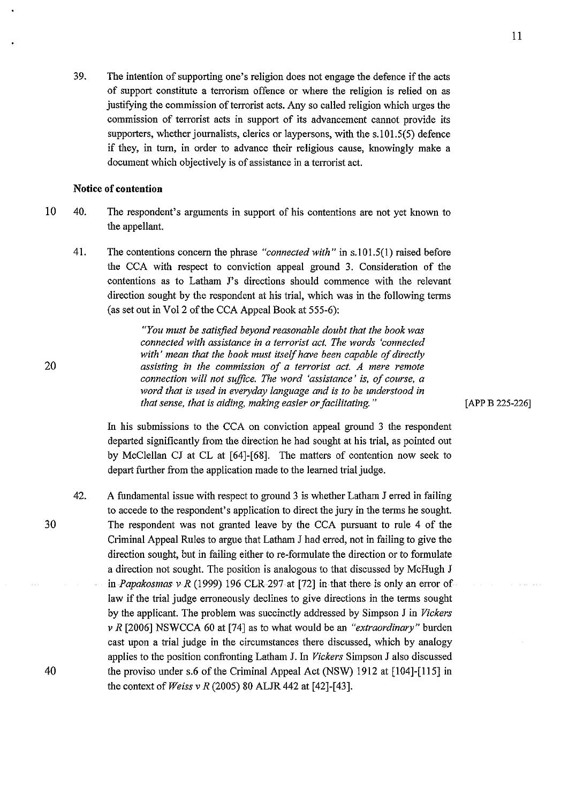39. The intention of supporting one's religion does not engage the defence if the acts of support constitute a terrorism offence or where the religion is relied on as justifying the commission of terrorist acts. Any so called religion which urges the commission of terrorist acts in support of its advancement cannot provide its supporters, whether journalists, clerics or laypersons, with the s.101.5(5) defence if they, in turn, in order to advance their religious cause, knowingly make a document which objectively is of assistance in a terrorist act.

### **Notice of contention**

- 10 40. The respondent's arguments in support of his contentions are not yet known to the appellant.
	- 41. The contentions concern the phrase *"connected with"* in s.l01.5(1) raised before the CCA with respect to conviction appeal ground 3. Consideration of the contentions as to Latham J's directions should commence with the relevant direction sought by the respondent at his trial, which was in the following terms (as set out in Vol2 of the CCA Appeal Book at 555-6):

*"You must be satisfied beyond reasonable doubt that the book was connected with assistance in a terrorist act. The words 'connected with' mean that the book must itself have been capable of directly assisting in the commission of a terrorist act. A mere remote connection will not suffice. The word 'assistance' is, of course, a word that is used in everyday language and* is *to be understood in that sense, that is aiding, making easier or facilitating.* "

In his submissions to the CCA on conviction appeal ground 3 the respondent departed significantly from the direction he had sought at his trial, as pointed out by McClellan CJ at CL at [64]-[68]. The matters of contention now seek to depart further from the application made to the learned trial judge.

42. A fundamental issue with respect to ground 3 is whether Latham J erred in failing to accede to the respondent's application to direct the jury in the terms he sought. The respondent was not granted leave by the CCA pursuant to rule 4 of the Criminal Appeal Rules to argue that Latham J had erred, not in failing to give the direction sought, but in failing either to re-formulate the direction or to formulate a direction not sought. The position is analogous to that discussed by McHugh J in *Papakosmas v R* (1999) 196 CLR 297 at [72] in that there is only an error of law if the trial judge erroneously declines to give directions in the terms sought by the applicant. The problem was succinctly addressed by Simpson J in *Vickers v R* [2006] NSWCCA 60 at [74] as to what would be an *"extraordinary"* burden cast upon a trial judge in the circumstances there discussed, which by analogy applies to the position confronting Latham J. In *Vickers* Simpson J also discussed the proviso under s.6 of the Criminal Appeal Act (NSW) 1912 at [104]-[115] in the context of *Weiss v R* (2005) 80 ALJR 442 at [42]-[43].

[APP B 225-226]

30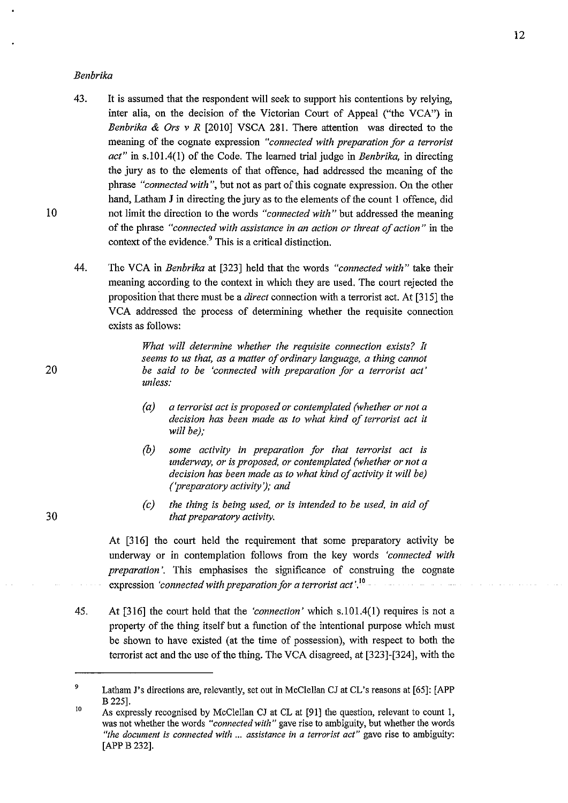#### *Benbrika*

- 43. It is assumed that the respondent will seek to support his contentions by relying, inter alia, on the decision of the Victorian Court of Appeal ("the VCA") in *Benbrika & Ors v R* [2010] VSCA 281. There attention was directed to the meaning of the cognate expression *"connected with preparation for a terrorist act"* in s.l01.4(1) of the Code. The learned trial judge in *Benbrika,* in directing the jury as to the elements of that offence, had addressed the meaning of the phrase *"connected with",* but not as part of this cognate expression. On the other hand, Latham J in directing the jury as to the elements of the count I offence, did not limit the direction to the words *"connected with"* but addressed the meaning of the phrase *"connected with assistance in an action or threat of action"* in the context of the evidence.<sup>9</sup> This is a critical distinction.
- 44. The VCA in *Benbrika* at [323] held that the words *"connected with"* take their meaning according to the context in which they are used. The court rejected the proposition that there must be a *direct* connection with a terrorist act. At [315] the VCA addressed the process of determining whether the requisite connection exists as follows:

*What will determine whether the requisite connection exists? It seems to us that, as a matter of ordinary language, a thing cannot be said to be 'connected with preparation for a terrorist act' unless:* 

- *(a) a terrorist act is proposed or contemplated (whether or not a decision has been made as to what kind of terrorist act it will be);*
- *(b) some activity in preparation for that terrorist act is underway, or is proposed, or contemplated (whether or not a decision has been made as to what kind of activity it will be) {'preparatory activity'}; and*
- *(c) the thing is being used, or is intended to be used, in aid of that preparatory activity.*

At [316] the court held the requirement that some preparatory activity be underway or in contemplation follows from the key words *'connected with preparation'*. This emphasises the significance of construing the cognate expression *'connected with preparation for a terrorist act* '. <sup>10</sup>

45. At [316] the court held that the *'connection'* which s.l01.4(1) requires is not a property of the thing itself but a function of the intentional purpose which must be shown to have existed (at the time of possession), with respect to both the terrorist act and the use of the thing. The VCA disagreed, at [323]-[324], with the

20

<sup>9</sup>  Latham J's directions are, relevantly, set out in McClellan CJ at CL's reasons at [65]: [APP B 225].

<sup>10</sup>  As expressly recognised by McClellan CJ at CL at [91] the question, relevant to count I, was not whether the words *"connected with"* gave rise to ambiguity, but whether the words *"the document is connected with* ... *assistance in a terrorist act"* **gave rise to ambiguity:**  [APPB 232].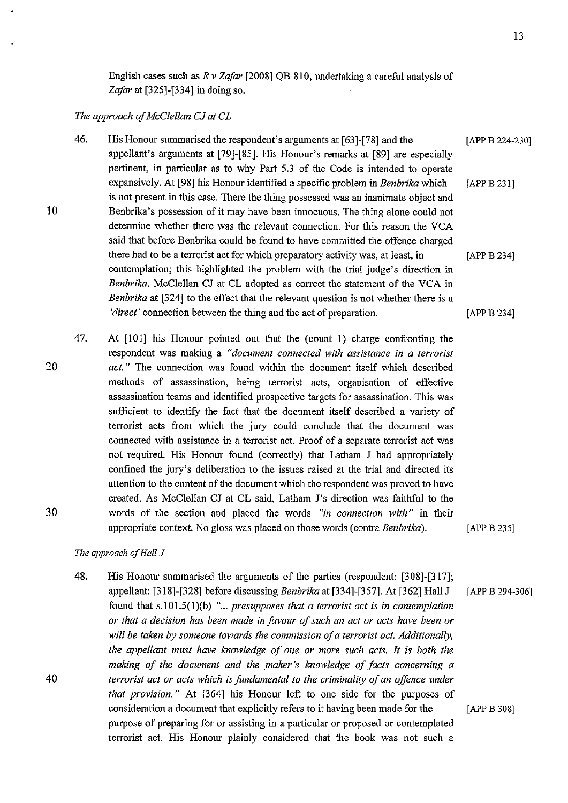English cases such as *R v Zafar* [2008] QB 810, undertaking a careful analysis of *Zafar* at [325]-[334] in doing so.

### *The approach of McClellan CJ at CL*

- 46. His Honour summarised the respondent's arguments at [63]-[78] and the [APP B 224-230] appellant's arguments at [79]-[85]. His Honour's remarks at [89] are especially pertinent, in particular as to why Part 5.3 of the Code is intended to operate expansively. At [98] his Honour identified a specific problem in *Benbrika* which is not present in this case. There the thing possessed was an inanimate object and Benbrika's possession of it may have been innocuous. The thing alone could not determine whether there was the relevant connection. For this reason the VCA said that before Benbrika could be found to have committed the offence charged [APP B 231] there had to be a terrorist act for which preparatory activity was, at least, in [APP B 234] contemplation; this highlighted the problem with the trial judge's direction in *Benbrika.* McClellan CJ at CL adopted as correct the statement of the VCA in *Benbrika* at [324] to the effect that the relevant question is not whether there is a *'direct'* connection between the thing and the act of preparation. [APP B 234]
- 47. At [101] his Honour pointed out that the (count I) charge confronting the respondent was making a *"document connected with assistance in a terrorist act.* " The connection was found within the document itself which described methods of assassination, being terrorist acts, organisation of effective assassination teams and identified prospective targets for assassination. This was sufficient to identify the fact that the document itself described a variety of terrorist acts from which the jury could conclude that the document was connected with assistance in a terrorist act. Proof of a separate terrorist act was not required. His Honour found (correctly) that Latham J had appropriately confined the jury's deliberation to the issues raised at the trial and directed its attention to the content of the document which the respondent was proved to have created. As McClellan CJ at CL said, Latham J's direction was faithful to the words of the section and placed the words *"in connection with"* in their appropriate context. No gloss was placed on those words (contra *Benbrika).* [APP B 235]

#### *The approach of Hall* J

48. His Honour summarised the arguments of the parties (respondent: [308]-[317]; appellant: [318]-[328] before discussing *Benbrika* at [334]-[357]. At [362] Hall J [APP B 294-306] found that s.101.5(1)(b) "... presupposes that a terrorist act is in contemplation *or that a decision has been made in favour of such an act or acts have been or will be taken by someone towards the commission of a terrorist act. Additionally, the appellant must have knowledge of one or more such acts. It is both the making of the document and the maker's knowledge of facts concerning a terrorist act or acts which is fundamental to the criminality of an offence under that provision."* At [364] his Honour left to one side for the purposes of consideration a document that explicitly refers to it having been made for the [APP B 308] purpose of preparing for or assisting in a particular or proposed or contemplated terrorist act. His Honour plainly considered that the book was not such a

20

10

30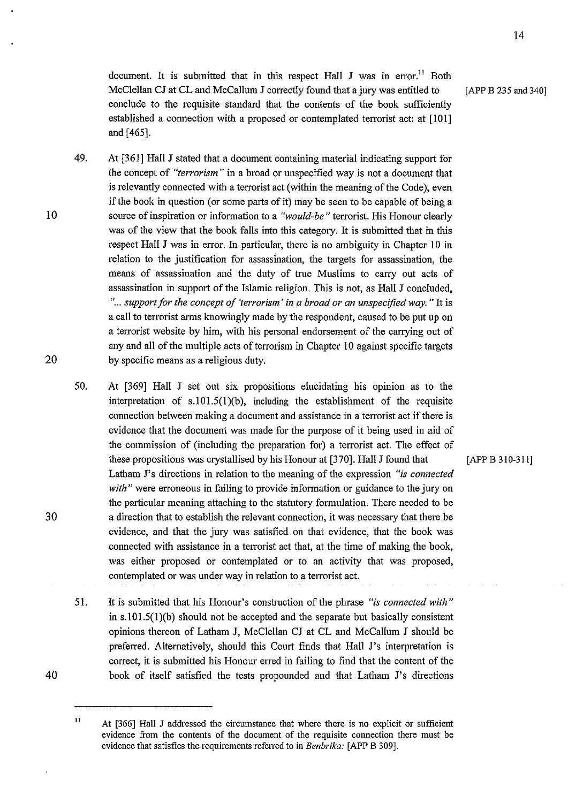document. It is submitted that in this respect Hall J was in error.<sup>11</sup> Both McClellan CJ at CL and McCallum J correctly found that a jury was entitled to [APP B 235 and 340] conclude to the requisite standard that the contents of the book sufficiently established a connection with a proposed or contemplated terrorist act: at [101] and [465].

- 49. At [361] Hall J stated that a document containing material indicating support for the concept of *"terrorism"'* in a broad or unspecified way is not a document that is relevantly connected with a terrorist act (within the meaning of the Code), even if the book in question (or some parts of it) may be seen to be capable of being a source of inspiration or information to a *"would-be"* terrorist. His Honour clearly was of the view that the book falls into this category. It is submitted that in this respect Hall J was in error. In particular, there is no ambiguity in Chapter 10 in relation to the justification for assassination, the targets for assassination, the means of assassination and the duty of true Muslims to carry out acts of assassination in support of the Islamic religion. This is not, as Hall J concluded, " ... *support for the concept of 'terrorism' in a broad or an unspecified way.* " It is a call to terrorist arms knowingly made by the respondent, caused to be put up on a terrorist website by him, with his personal endorsement of the carrying out of any and all of the multiple acts of terrorism in Chapter 10 against specific targets by specific means as a religious duty.
	- 50. At [369] Hall J set out six propositions elucidating his opinion as to the interpretation of s.101.5(1)(b), including the establishment of the requisite connection between making a document and assistance in a terrorist act ifthere is evidence that the document was made for the purpose of it being used in aid of the commission of (including the preparation for) a terrorist act. The effect of these propositions was crystallised by his Honour at [370]. Hall J found that [APP B 310-311] Latham J's directions in relation to the meaning of the expression "is *connected with"* were erroneous in failing to provide information or guidance to the jury on the particular meaning attaching to the statutory formulation. There needed to be a direction that to establish the relevant connection, it was necessary that there be evidence, and that the jury was satisfied on that evidence, that the book was connected with assistance in a terrorist act that, at the time of making the book, was either proposed or contemplated or to an activity that was proposed, contemplated or was under way in relation to a terrorist act.
	- 51. It is submitted that his Honour's construction of the phrase *"is connected with"*  in  $s.101.5(1)(b)$  should not be accepted and the separate but basically consistent opinions thereon of Latham J, McClellan CJ at CL and McCallum J should be preferred. Alternatively, should this Court finds that Hall J's interpretation is correct, it is submitted his Honour erred in failing to fmd that the content of the book of itself satisfied the tests propounded and that Latham J's directions

10

<sup>&</sup>lt;sup>11</sup> At [366] Hall J addressed the circumstance that where there is no explicit or sufficient evidence from the contents of the document of the requisite connection there must be evidence that satisfies the requirements referred to in *Benbrika:* [APP B 309].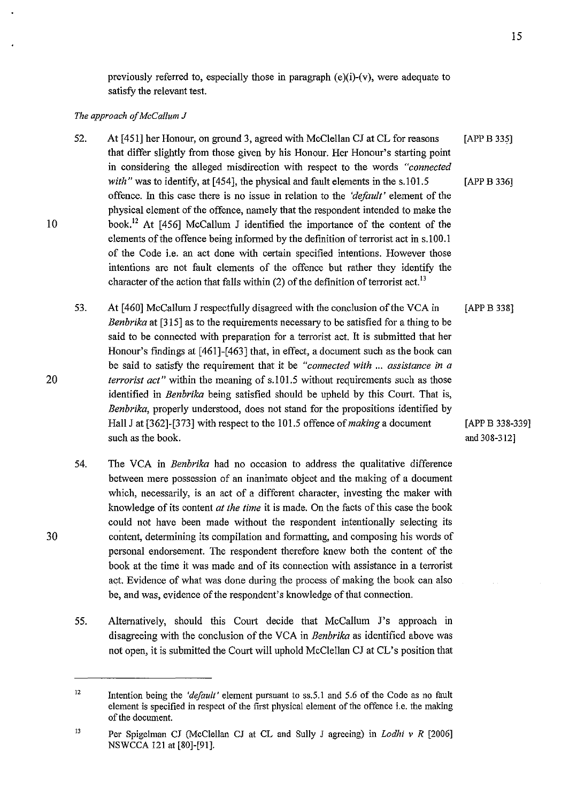previously referred to, especially those in paragraph (e)(i)-(v), were adequate to satisfy the relevant test.

#### *The approach of McCallum* J

- 52. At [451] her Honour, on ground 3, agreed with McClellan CJ at CL for reasons that differ slightly from those given by his Honour. Her Honour's starting point in considering the alleged misdirection with respect to the words *"connected*  [APP B 335] *with*" was to identify, at [454], the physical and fault elements in the s.101.5 [APP B 336] offence. 1n this case there is no issue in relation to the *'default'* element of the physical element of the offence, namely that the respondent intended to make the book. 12 At [456] McCallum J identified the importance of the content of the elements of the offence being informed by the definition of terrorist act in s.lOO.l of the Code i.e. an act done with certain specified intentions. However those intentions are not fault elements of the offence but rather they identify the character of the action that falls within  $(2)$  of the definition of terrorist act.<sup>13</sup>
- 53. At [460] McCallum J respectfully disagreed with the conclusion of the VCA in *Benbrika* at [315] as to the requirements necessary to be satisfied for a thing to be said to be connected with preparation for a terrorist act. It is submitted that her Honour's findings at [461]-[463] that, in effect, a document such as the book can be said to satisfy the requirement that it be *"connected with* ... *assistance in a terrorist act*" within the meaning of s.101.5 without requirements such as those identified in *Benbrika* being satisfied should be upheld by this Court. That is, *Benbrika,* properly understood, does not stand for the propositions identified by [APPB 338] Hall J at [362]-[373] with respect to the 101.5 offence of *making* a document [APP B 338-339] such as the book.  $\qquad \qquad \text{and } 308-312]$
- 54. The VCA in *Benbrika* had no occasion to address the qualitative difference between mere possession of an inanimate object and the making of a document which, necessarily, is an act of a different character, investing the maker with knowledge of its content *at the time* it is made. On the facts of this case the book could not have been made without the respondent intentionally selecting its content, determining its compilation and formatting, and composing his words of personal endorsement. The respondent therefore knew both the content of the book at the time it was made and of its connection with assistance in a terrorist act. Evidence of what was done during the process of making the book can also be, and was, evidence of the respondent's knowledge of that connection.
- 55. Alternatively, should this Court decide that McCallum J's approach in disagreeing with the conclusion of the VCA in *Benbrika* as identified above was not open, it is submitted the Court will uphold McClellan CJ at CL's position that

15

20

<sup>12</sup>  Intention being the *'default'* element pursuant to ss.5.1 and 5.6 of the Code as no fault element is specified in respect of the first physical element of the offence i.e. the making of the document.

<sup>13</sup>  Per Spigelman CJ (McClellan CJ at CL and Sully J agreeing) in *Lodhi v R* [2006] NSWCCA 121 at [80]-[91].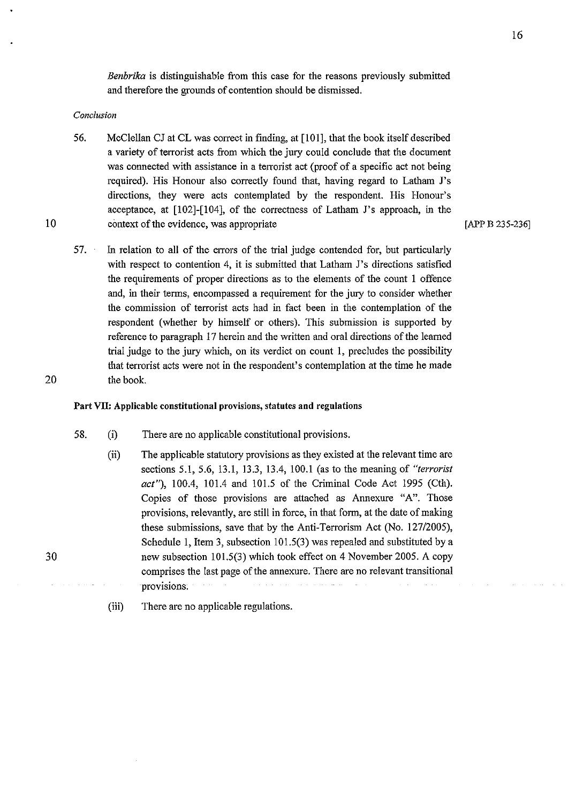*Benbrika* is distinguishable from this case for the reasons previously submitted and therefore the grounds of contention should be dismissed.

#### *Conclusion*

10

20

- 56. McClellan CJ at CL was correct in finding, at [101], that the book itself described a variety of terrorist acts from which the jury could conclude that the document was connected with assistance in a terrorist act (proof of a specific act not being required). His Honour also correctly found that, having regard to Latham J's directions, they were acts contemplated by the respondent. His Honour's acceptance, at [102]-[104], of the correctness of Latham J's approach, in the context of the evidence, was appropriate
- 57. In relation to all of the errors of the trial judge contended for, but particularly with respect to contention 4, it is submitted that Latham J's directions satisfied the requirements of proper directions as to the elements of the count I offence and, in their terms, encompassed a requirement for the jury to consider whether the commission of terrorist acts had in fact been in the contemplation of the respondent (whether by himself or others). This submission is supported by reference to paragraph 17 herein and the written and oral directions of the learned trial judge to the jury which, on its verdict on count 1, precludes the possibility that terrorist acts were not in the respondent's contemplation at the time he made the book.

#### Part Vll: Applicable constitutional provisions, statutes and regulations

- 58. (i) There are no applicable constitutional provisions.
	- (ii) The applicable statutory provisions as they existed at the relevant time are sections 5.1, 5.6, 13.1, 13.3, 13.4, 100.1 (as to the meaning of *"terrorist act"),* 100.4, 101.4 and 101.5 of the Criminal Code Act 1995 (Cth). Copies of those provisions are attached as Annexure "A". Those provisions, relevantly, are still in force, in that form, at the date of making these submissions, save that by the Anti-Terrorism Act (No. 127/2005), Schedule I, Item 3, subsection 101.5(3) was repealed and substituted by a new subsection 101.5(3) which took effect on 4 November 2005. A copy comprises the last page of the annexure. There are no relevant transitional provisions;
	- (iii) There are no applicable regulations.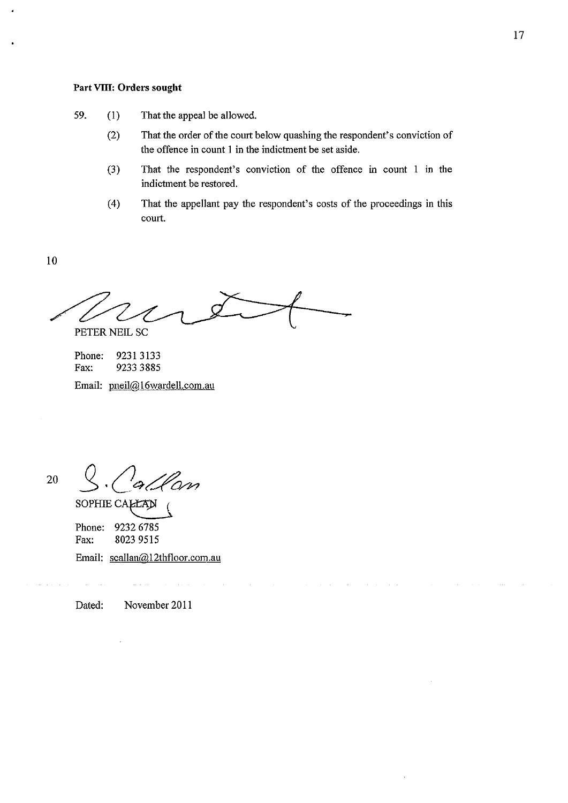# **Part Vlll: Orders sought**

- 59. (I) That the appeal be allowed.
	- (2) That the order of the court below quashing the respondent's conviction of the offence in count I in the indictment be set aside.
	- (3) That the respondent's conviction of the offence in count I in the indictment be restored.
	- ( 4) That the appellant pay the respondent's costs of the proceedings in this court.

10

PETER NEIL SC

Phone: 9231 3133<br>Fax: 9233 3885 Fax: 9233 3885 Email: pneil@ 16wardell.com.au

20

fan

SOPHIE CALLAN Phone: 9232 6785<br>Fax: 8023 9515 Fax: 8023 9515

Email: scallan@l2thfloor.com.au

Dated: November 2011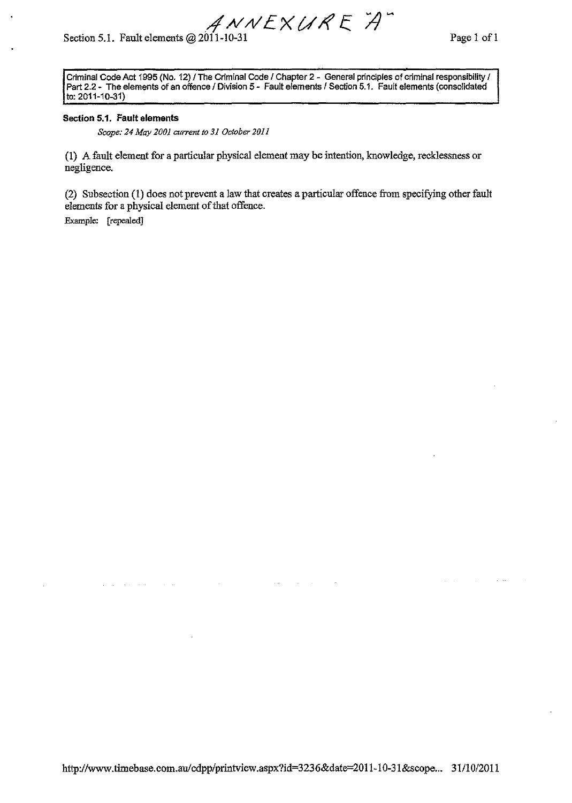*R*  $A$  *N*  $V$   $E$   $\times$   $U$   $R$   $E$   $\overleftrightarrow{A}$  Page 1 of 1 Page 1 of 1

Criminal Code Act 1995 (No. 12) / The Criminal Code / Chapter 2 - General principles of criminal responsibility / Part 2.2- The elements of an offence I Division 5- Fault elements I Section 5.1. Fault elements (consolidated to: 2011-10-31)

#### **Section 5.1. Fault elements**

*Scope: 24 May 2001 current to 31 October 2011* 

(1) A fault element for a particular physical element may be intention, knowledge, recklessness or negligence.

(2) Subsection (1) does not prevent a law that creates a particular offence from specifying other fault elements for a physical element of that offence.

Example: (repealed]

 $\sim$   $\sim$ 

 $\alpha$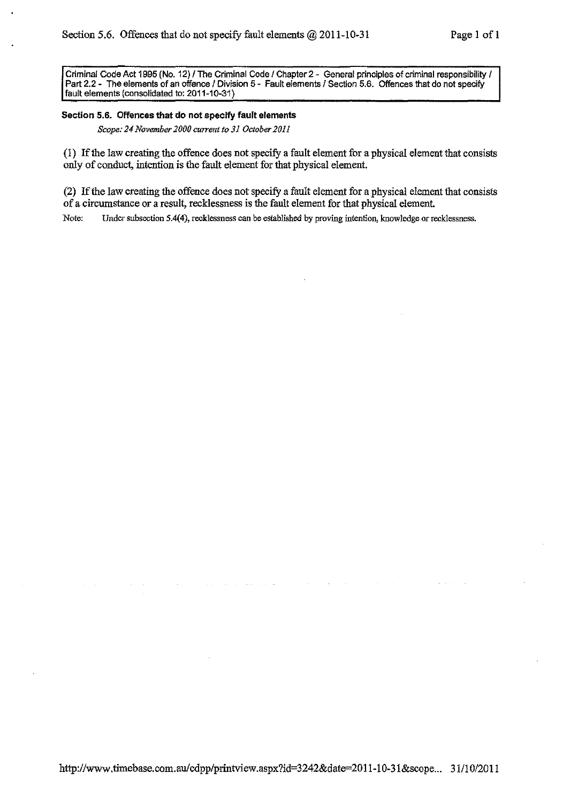Criminal Code Act 1995 (No. 12) / The Criminal Code / Chapter 2 - General principles of criminal responsibility / Part 2.2 - The elements of an offence / Division 5 - Fault elements / Section 5.6. Offences that do not specify fault elements (consolidated to: 2011-10-31)

#### **Section 5.6. Offences that do not specify fault elements**

*Scope: 24 November 2000 current to 31 October 2011* 

(1) If the law creating the offence does not specify a fault element for a physical element that consists only of conduct, intention is the fault element for that physical element.

(2) If the law creating the offence does not specify a fault element for a physical element that consists of a circumstance or a result, recklessness is the fault element for that physical element

Note: Under subsection 5.4(4), recklessness can be established by proving intention, knowledge or recklessness.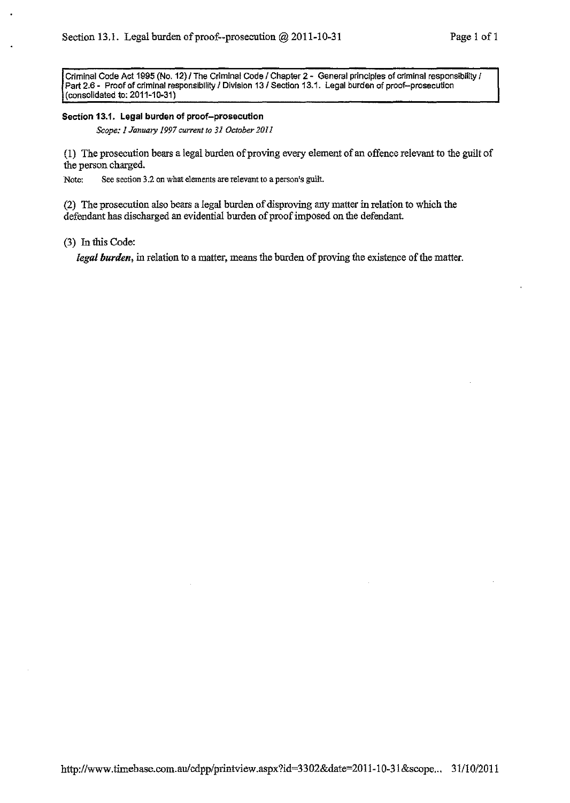Criminal Code Act 1995 (No. 12)/ The Criminal Code I Chapter 2- General prtnclples of criminal responsibility I Part 2.6 - Proof of crtminal responsibility I Division 13/ Section 13.1. Legal burden of proof-prosecution (consolidated to; 2011-10-31)

#### Section 13.1. Legal burden of proof-prosecution

*Scope: I January 1997 current to 31 October 2011* 

(1) The prosecution bears a legal burden of proving every element of an offence relevant to the guilt of the person charged.

Note: See section 3.2 on what elements are relevant to a person's guilt.

(2) The prosecution also bears a legal burden of disproving any matter in relation to which the defendant has discharged an evidential burden of proof imposed on the defendant

(3) In this Code:

*legal burden,* in relation to a matter, means the burden of proving the existence of the matter.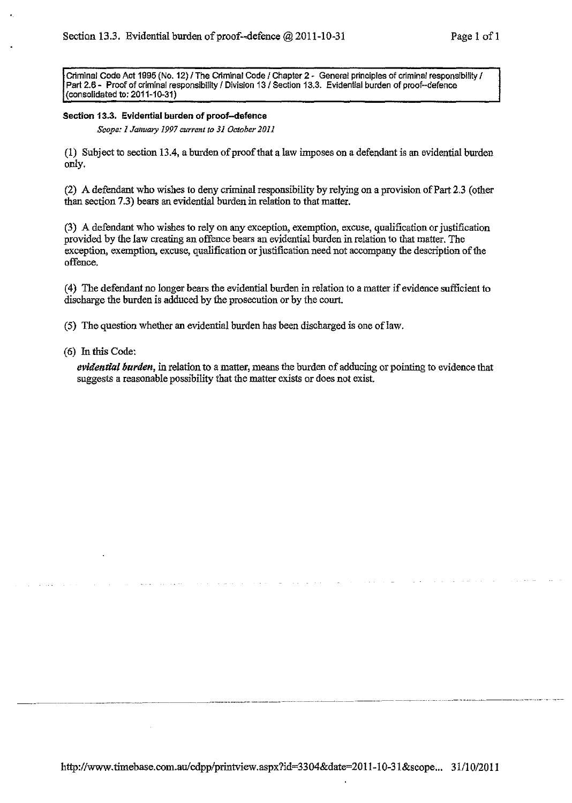Criminal Code Act 1995 (No. 12) / The Criminal Code / Chapter 2 - General principles of criminal responsibility / Part 2.6 - Proof of criminal responsibility / Division 13 / Section 13.3. Evidential burden of proof--defence (consolidated to; 2011-10-31)

### Section 13.3. Evidential burden of proof-defence

*Scope: 1 January 1997 current to 31 October 2011* 

(1) Subject to section 13 .4, a burden of proof that a law imposes on a defendant is an evidential burden only.

(2) A defendant who wishes to deny criminal responsibility by relying on a provision ofPart 2.3 (other than section 7.3) bears an evidential burden in relation to that matter.

(3) A defendant who wishes to rely on any exception, exemption, excuse, qualification or justification provided by the law creating an offence bears an evidential burden in relation to that matter. The exception, exemption, excuse, qualification or justification need not accompany the description of the offence.

( 4) The defendant no longer bears the evidential bnrden in relation to a matter if evidence sufficient to discharge the burden is adduced by the prosecution or by the court.

(5) The question whether an evidential burden has been discharged is one of law.

(6) In this Code:

*evidential burden,* in relation to a matter, means the burden of adducing or pointing to evidence that suggests a reasonable possibility that the matter exists or does not exist.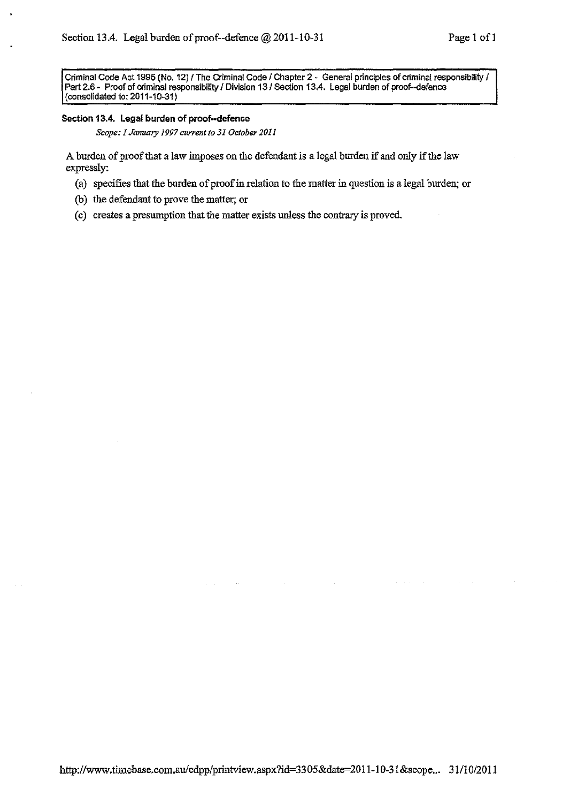Criminal Code Act 1995 (No. 12) / The Criminal Code / Chapter 2 - General principles of criminal responsibility / Part 2.6 - Proof of criminal responsibility / Division 13 / Section 13.4. Legal burden of proof--defence {consolidated to: 2011-10-31)

#### **Section 13.4. Legal burden of proof-defence**

*Scope: 1 January 1997 current to 31 October 2011* 

A burden of proof that a law imposes on the defendant is a legal burden if and only if the law expressly:

- (a) specifies that the burden of proof in relation to the matter in question is a legal burden; or
- (b) the defendant to prove the matter; or
- (c) creates a presumption that the matter exists unless the contrary is proved.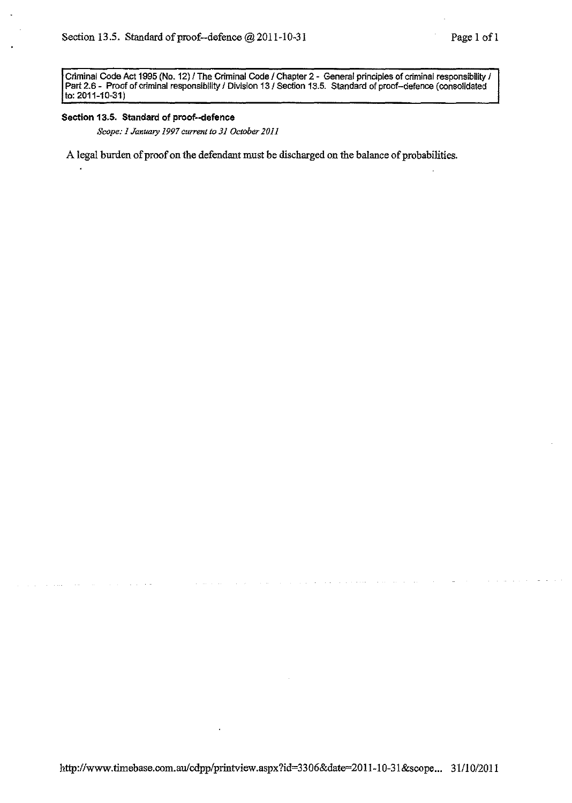Criminal Code Act 1995 (No. 12) / The Criminal Code / Chapter 2 - General principles of criminal responsibility / Part 2.6- Proof of criminal responsibility I Division 131 Section 13.5. Standard of proof-defence {consolidated to: 2011-10-31)

#### **Section 13.5. Standard of proof--defence**

*Scope: I January 1997 current to 31 October 2011* 

A legal burden of proof on the defendant must be discharged on the balance of probabilities.

 $\omega_{\rm eff}$  ,  $\omega_{\rm eff}$  ,  $\omega_{\rm eff}$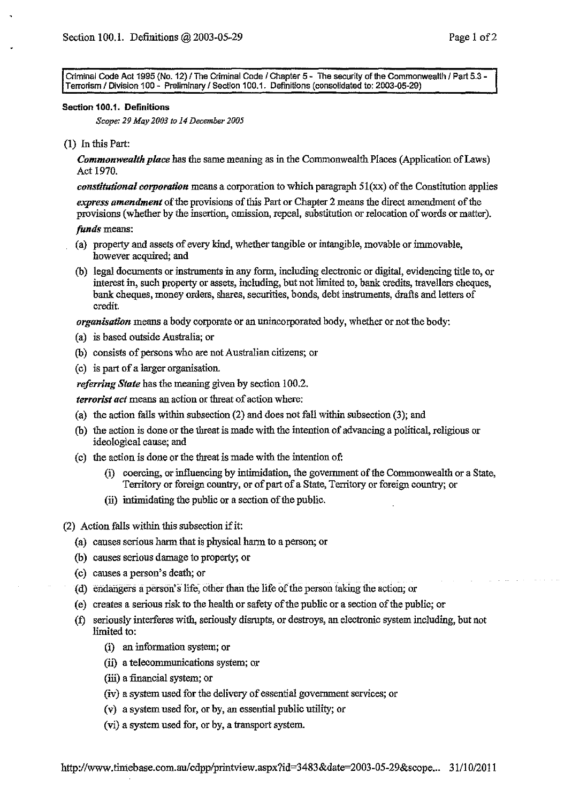Criminal Code Act 1995 (No. 12) / The Criminal Code / Chapter 5 - The security of the Commonwealth / Part 5.3 -Terrorism I Division 100 - Preliminary I Section 1 00.1. Definitions (consolidated to: 2003-05-29)

#### Section 100.1. Definitions

*Scope: 29 May 2003 to 14 December 2005* 

(I) In this Part:

*Commonwealth place* has the same meaning as in the Commonwealth Places (Application of Laws) Act 1970.

*constitutional corporation* means a corporation to which paragraph 5l(xx) of the Constitution applies

*express amendment* of the provisions of this Part or Chapter 2 means the direct amendment of the provisions (whether by the insertion, omission, repeal, substitution or relocation of words or matter).

## *funds* means:

- (a) property and assets of every kind, whether tangible or intangible, movable or immovable, however acquired; and
- (b) legal documents or instruments in any form, including electronic or digital, evidencing title to, or interest in, such property or assets, including, but not limited to, bank credits, travellers cheques, bank cheques, money orders, shares, securities, bonds, debt instruments, drafts and letters of credit.

*organisation* means a body corporate or an unincorporated body, whether or not the body:

- (a) is based outside Australia; or
- (b) consists of persons who are not Australian citizens; or
- (c) is part of a larger organisation.

*referring State* has the meaning given by section 100.2.

*terrorist act* means an action or threat of action where:

- (a) the action falls within subsection (2) and does not fall within subsection (3); and
- (b) the action is done or the threat is made with the intention of advancing a political, religious or ideological cause; and
- (c) the action is done or the threat is made with the intention of:
	- (i) coercing, or influencing by intimidation, the government of the Commonwealth or a State, Territory or foreign country, or of part of a State, Territory or foreign country; or
	- (ii) intimidating the public or a section of the public.
- (2) Action falls within this subsection if it:
	- (a) causes serious harm that is physical harm to a person; or
	- (b) causes serious damage to property; or
	- (c) causes a person's death; or
	- (d) endangers a person's life, other than the life or the person taking the action; or
	- (e) creates a serious risk to the health or safety of the public or a section of the public; or
	- (t) seriously interferes with, seriously disrupts, or destroys, an electronic system including, but not limited to:
		- (i) an information system; or
		- (ii) a telecommunications system; or
		- (iii) a financial system; or
		- (iv) a system used for the delivery of essential government services; or
		- (v) a system used for, or by, an essential public utility; or
		- (vi) a system used for, or by, a transport system.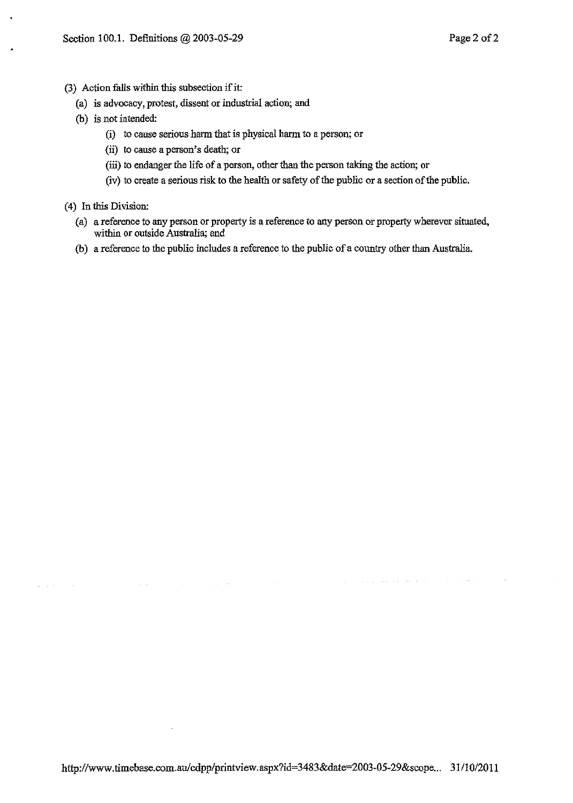(3) Action falls within this subsection if it:

 $\sim$   $\sim$ 

 $\Delta \sim 10^{11}$  km s  $^{-1}$  and

- (a) is advocacy, protest, dissent or industrial action; and
- (b) is not intended:
	- (i) to cause serious harm that is physical harm to a person; or
	- (ii) to cause a person's death; or
	- (iii) to endanger the life of a person, other than the person taking the action; or
	- (iv) to create a serious risk to the health or safety of the public or a section of the public.
- ( 4) In this Division:
	- (a) a reference to any person or property is a reference to any person or property wherever situated, within or outside Australia; and
	- (b) a reference to the public includes a reference to the public of a country other than Australia.

**Carl Carl Car**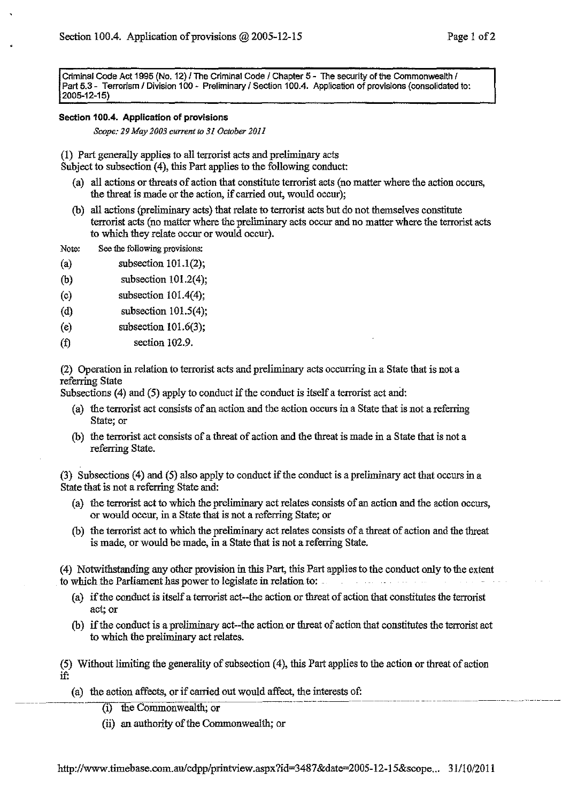Criminal Code Act 1995 (No. 12) / The Criminal Code / Chapter 5 - The security of the Commonwealth / Part 5.3 - Terrorism / Division 100 - Preliminary / Section 100.4. Application of provisions (consolidated to: 2005-12-15)

## **Section 100.4. Application of provisions**

*Scope: 29Mey2003 current to 31 October 2011* 

(1) Part generally applies to all terrorist acts and preliminary acts Subject to subsection (4), this Part applies to the following conduct:

- (a) all actions or threats of action that constitute terrorist acts (no matter where the action occurs, the threat is made or the action, if carried out, would occur);
- (b) all actions (preliminary acts) that relate to terrorist acts but do not themselves constitute terrorist acts (no matter where the preliminary acts occur and no matter where the terrorist acts to which they relate occur or would occur).
- Note: See the following provisions:
- (a) subsection  $101.1(2)$ ;
- (b) subsection 101.2(4);
- (c) subsection  $101.4(4)$ ;
- (d) subsection  $101.5(4)$ ;
- (e) subsection  $101.6(3)$ ;
- (f) section 102.9.

(2) Operation in relation to terrorist acts and preliminary acts occurring in a State that is not a referring State

Subsections (4) and (5) apply to conduct if the conduct is itself a terrorist act and:

- (a) the terrorist act consists of an action and the action occurs in a State that is not a referring State; or
- (b) the terrorist act consists of a threat of action and the threat is made in a State that is not a referring State.

(3) Subsections (4) and (5) also apply to conduct if the conduct is a preliminary act that occurs in a State that is not a referring State and:

- (a) the terrorist act to which the preliminary act relates consists of an action and the action occurs, or would occur, in a State that is not a referring State; or
- (b) the terrorist act to which the preliminary act relates consists of a threat of action and the threat is made, or would be made, in a State that is not a referring State.

(4) Notwithstanding any other provision in this Part, this Part applies to the conduct only to the extent to which the Parliament has power to legislate in relation to: ..

- (a) if the conduct is itself a terrorist act--the action or threat of action that constitutes the terrorist act; or
- (b) if the conduct is a preliminary act--the action or threat of action that constitutes the terrorist act to which the preliminary act relates.

(5) Without limiting the generality of subsection ( 4), this Part applies to the action or threat of action if:

- (a) the action affects, or if carried out would affect, the interests of:
	- (i) the Commonwealth; or
	- (ii) an authority of the Commonwealth; or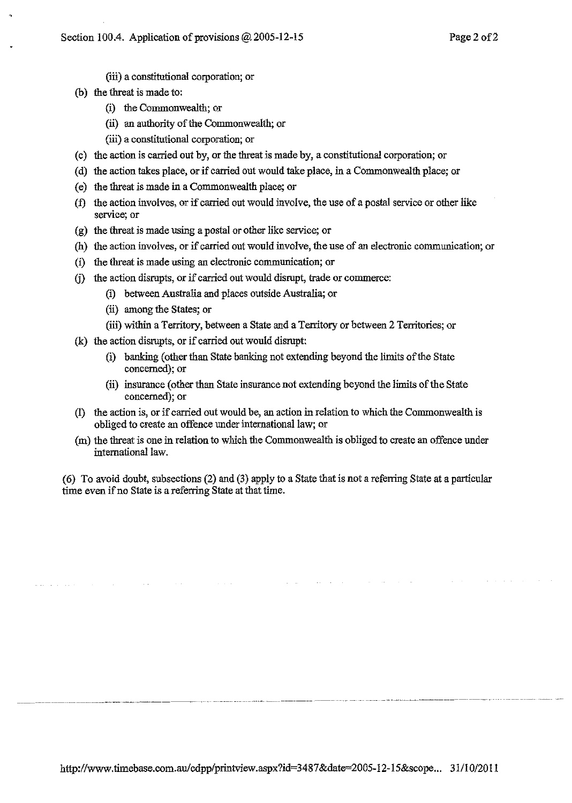- (iii) a constitutional corporation; or
- (b) the threat is made to:
	- (i) the Commonwealth; or
	- (ii) an authority of the Commonwealth; or
	- (iii) a constitutional corporation; or
- (c) the action is carried out by, or the threat is made by, a constitutional corporation; or
- (d) the action takes place, or if carried out would take place, in a Commonwealth place; or
- (e) the threat is made in a Commonwealth place; or
- (f) the action involves, or if carried out would involve, the use of a postal service or other like service; or
- (g) the threat is made using a postal or other like service; or
- (h) the action involves, or if carried out would involve, the use of an electronic communication; or
- (i) the threat is made using an electronic communication; or
- *G)* the action disrupts, or if carried out would disrupt, trade or commerce:
	- (i) between Australia and places outside Australia; or
	- (ii) among the States; or
	- (iii) within a Territory, between a State and a Territory or between 2 Territories; or
- (k) the action disrupts, or if carried out would disrupt:
	- (i) banking (other than State banking not extending beyond the limits of the State concerned); or
	- (ii) insurance (other than State insurance not extending beyond the limits of the State concerned); or
- (1) the action is, or if carried out would be, an action in relation to which the Commonwealth is obliged to create an offence under international law; or
- (m) the threat is one in relation to which the Commonwealth is obliged to create an offence under international law.

(6) To avoid doubt, subsections (2) and (3) apply to a State that is not a referring State at a particular time even if no State is a referring State at that time.

----------------------· ··-·--·-···-·----- ----- ---------------------- ---- -------- ------------ -- -- ----·- --- ... -----~--------------------.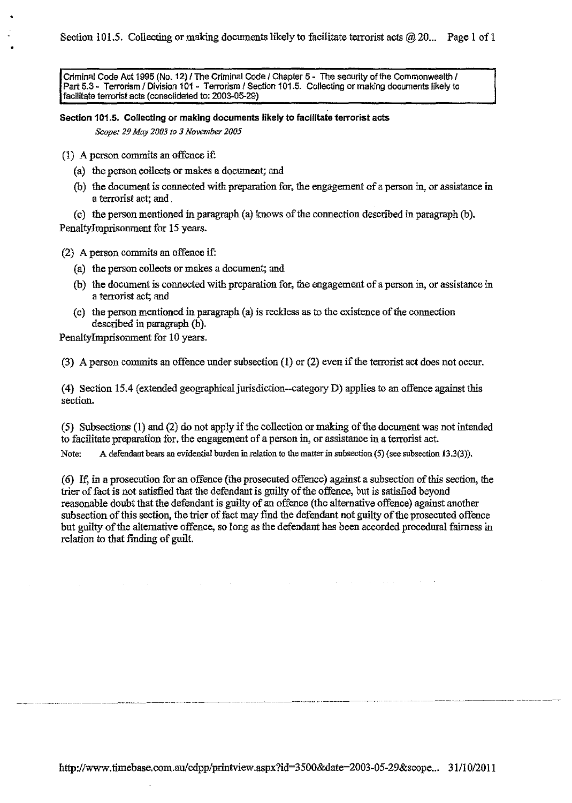Criminal Code Act 1995 (No. 12) / The Criminal Code / Chapter 5 - The security of the Commonwealth / Part 5.3 - Terrorism / Division 101 - Terrorism / Section 101.5. Collecting or making documents likely to facilitate terrorist acts (consolidated to: 2003-05-29)

**Section 1 01.5. Collecting or making documents likely to facilitate terrorist acts**  *Scope: 29 May 2003 to 3 November 2005* 

- (1) A person commits an offence if:
	- (a) the person collects or makes a document; and
	- (b) the document is connected with preparation for, the engagement of a person in, or assistance in a terrorist act; and

(c) the person mentioned in paragraph (a) knows of the connection described in paragraph  $(b)$ . Penaltylmprisonment for 15 years.

(2) A person commits an offence if:

- (a) the person collects or makes a document; and
- (b) the document is connected with preparation for, the engagement of a person in, or assistance in a terrorist act; and
- (c) the person mentioned in paragraph (a) is reckless as to the existence of the connection described in paragraph (b).

Penaltylmprisonment for 10 years.

(3) A person commits an offence under subsection **(1)** or (2) even if the terrorist act does not occur.

(4) Section 15.4 (extended geographical jurisdiction--category D) applies to an offence against this section.

(5) Subsections (1) and (2) do not apply if the collection or making of the document was not intended to facilitate preparation for, the engagement of a person in, or assistance in a terrorist act. Note: A defendant bears an evidential burden in relation to the matter in subsection (5) (see subsection 13.3(3)).

(6) If, in a prosecution for an offence (the prosecuted offence) against a subsection of this section, the trier of fact is not satisfied that the defendant is guilty of the offence, but is satisfied beyond reasonable doubt that the defendant is guilty of an offence (the alternative offence) against another subsection of this section, the trier of fact may find the defendant not guilty of the prosecuted offence but guilty of the alternative offence, so long as the defendant has been accorded procedural fairness in relation to that finding of guilt.